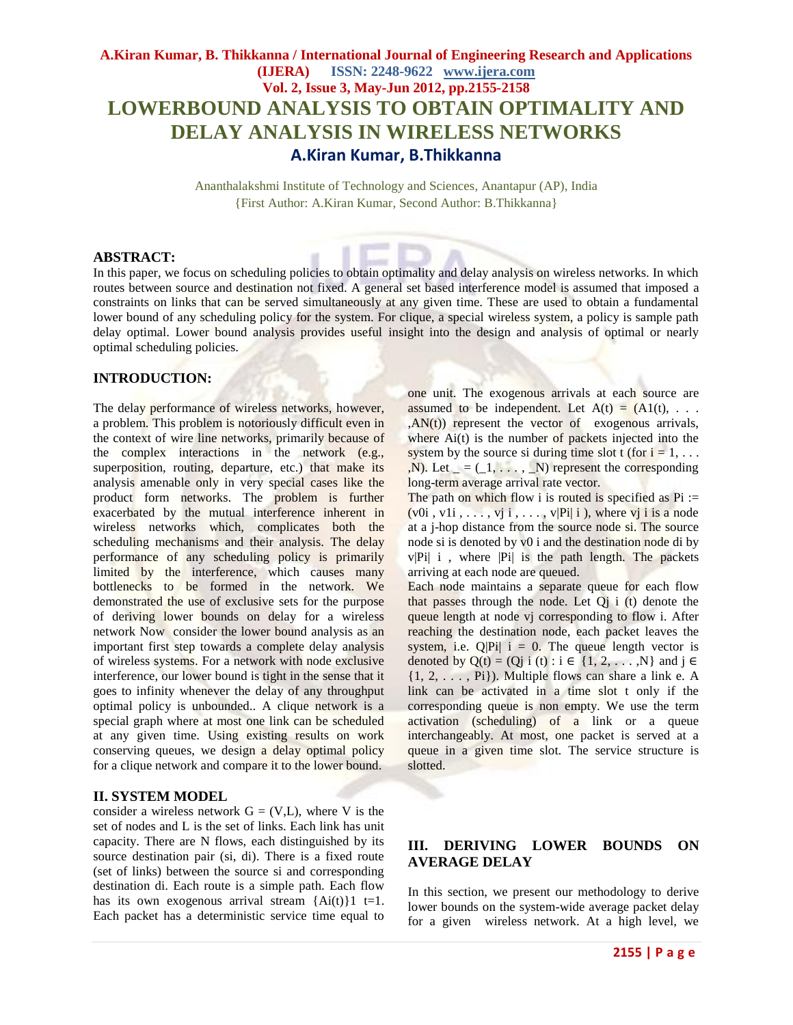# **A.Kiran Kumar, B. Thikkanna / International Journal of Engineering Research and Applications (IJERA) ISSN: 2248-9622 www.ijera.com Vol. 2, Issue 3, May-Jun 2012, pp.2155-2158 LOWERBOUND ANALYSIS TO OBTAIN OPTIMALITY AND DELAY ANALYSIS IN WIRELESS NETWORKS A.Kiran Kumar, B.Thikkanna**

Ananthalakshmi Institute of Technology and Sciences, Anantapur (AP), India {First Author: A.Kiran Kumar, Second Author: B.Thikkanna}

## **ABSTRACT:**

In this paper, we focus on scheduling policies to obtain optimality and delay analysis on wireless networks. In which routes between source and destination not fixed. A general set based interference model is assumed that imposed a constraints on links that can be served simultaneously at any given time. These are used to obtain a fundamental lower bound of any scheduling policy for the system. For clique, a special wireless system, a policy is sample path delay optimal. Lower bound analysis provides useful insight into the design and analysis of optimal or nearly optimal scheduling policies.

# **INTRODUCTION:**

The delay performance of wireless networks, however, a problem. This problem is notoriously difficult even in the context of wire line networks, primarily because of the complex interactions in the network (e.g., superposition, routing, departure, etc.) that make its analysis amenable only in very special cases like the product form networks. The problem is further exacerbated by the mutual interference inherent in wireless networks which, complicates both the scheduling mechanisms and their analysis. The delay performance of any scheduling policy is primarily limited by the interference, which causes many bottlenecks to be formed in the network. We demonstrated the use of exclusive sets for the purpose of deriving lower bounds on delay for a wireless network Now consider the lower bound analysis as an important first step towards a complete delay analysis of wireless systems. For a network with node exclusive interference, our lower bound is tight in the sense that it goes to infinity whenever the delay of any throughput optimal policy is unbounded.. A clique network is a special graph where at most one link can be scheduled at any given time. Using existing results on work conserving queues, we design a delay optimal policy for a clique network and compare it to the lower bound.

#### **II. SYSTEM MODEL**

consider a wireless network  $G = (V, L)$ , where V is the set of nodes and L is the set of links. Each link has unit capacity. There are N flows, each distinguished by its source destination pair (si, di). There is a fixed route (set of links) between the source si and corresponding destination di. Each route is a simple path. Each flow has its own exogenous arrival stream  ${Ai(t)}1$  t=1. Each packet has a deterministic service time equal to

one unit. The exogenous arrivals at each source are assumed to be independent. Let  $A(t) = (A1(t), \ldots)$  $,AN(t)$  represent the vector of exogenous arrivals, where  $Ai(t)$  is the number of packets injected into the system by the source si during time slot t (for  $i = 1, \ldots$ )  $,N$ ). Let  $_ = (1, \ldots, N)$  represent the corresponding long-term average arrival rate vector.

The path on which flow i is routed is specified as  $Pi :=$ (v0i, v1i,  $\dots$ , vj i,  $\dots$ , v|Pi| i), where vj i is a node at a j-hop distance from the source node si. The source node si is denoted by v0 i and the destination node di by  $v|P_i|$  i, where  $|P_i|$  is the path length. The packets arriving at each node are queued.

Each node maintains a separate queue for each flow that passes through the node. Let  $Q_i$  i (t) denote the queue length at node vj corresponding to flow i. After reaching the destination node, each packet leaves the system, i.e.  $Q|P_i|$  i = 0. The queue length vector is denoted by Q(t) = (Qj i (t) : i  $\in$  {1, 2, . . . ,N} and j  $\in$  $\{1, 2, \ldots, Pi\}$ ). Multiple flows can share a link e. A link can be activated in a time slot t only if the corresponding queue is non empty. We use the term activation (scheduling) of a link or a queue interchangeably. At most, one packet is served at a queue in a given time slot. The service structure is slotted.

# **III. DERIVING LOWER BOUNDS ON AVERAGE DELAY**

In this section, we present our methodology to derive lower bounds on the system-wide average packet delay for a given wireless network. At a high level, we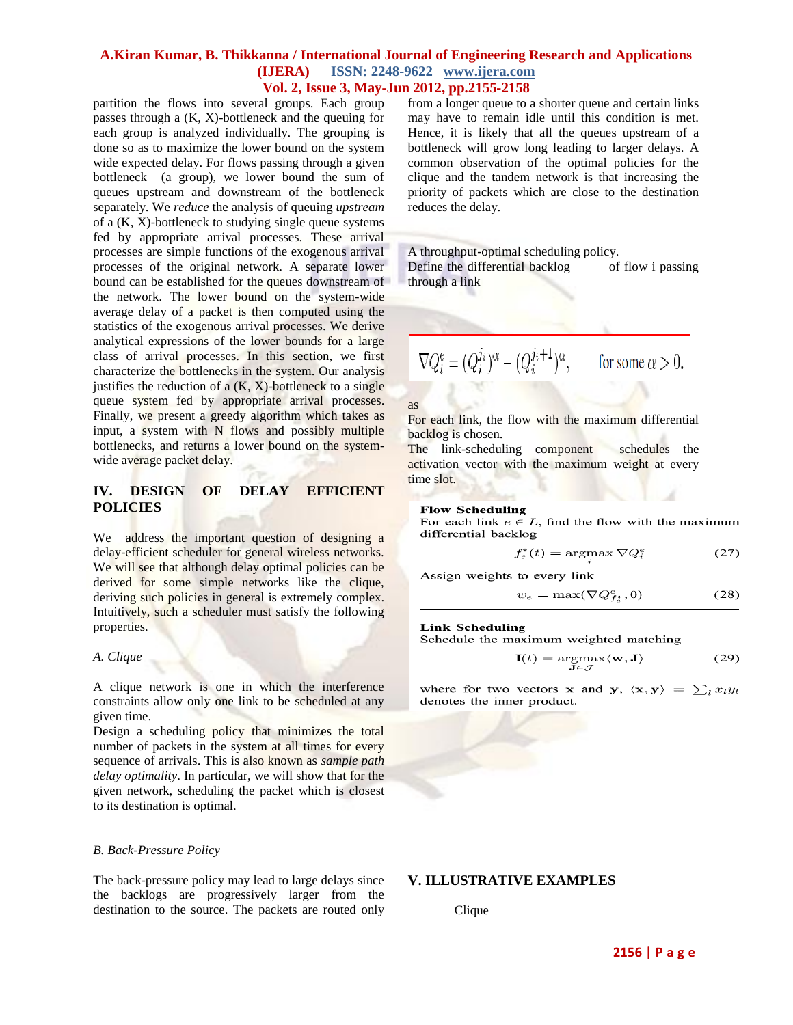# **A.Kiran Kumar, B. Thikkanna / International Journal of Engineering Research and Applications (IJERA) ISSN: 2248-9622 www.ijera.com Vol. 2, Issue 3, May-Jun 2012, pp.2155-2158**

partition the flows into several groups. Each group passes through a (K, X)-bottleneck and the queuing for each group is analyzed individually. The grouping is done so as to maximize the lower bound on the system wide expected delay. For flows passing through a given bottleneck (a group), we lower bound the sum of queues upstream and downstream of the bottleneck separately. We *reduce* the analysis of queuing *upstream*  of a (K, X)-bottleneck to studying single queue systems fed by appropriate arrival processes. These arrival processes are simple functions of the exogenous arrival processes of the original network. A separate lower bound can be established for the queues downstream of the network. The lower bound on the system-wide average delay of a packet is then computed using the statistics of the exogenous arrival processes. We derive analytical expressions of the lower bounds for a large class of arrival processes. In this section, we first characterize the bottlenecks in the system. Our analysis justifies the reduction of a  $(K, X)$ -bottleneck to a single queue system fed by appropriate arrival processes. Finally, we present a greedy algorithm which takes as input, a system with N flows and possibly multiple bottlenecks, and returns a lower bound on the systemwide average packet delay.

# **IV. DESIGN OF DELAY EFFICIENT POLICIES**

We address the important question of designing a delay-efficient scheduler for general wireless networks. We will see that although delay optimal policies can be derived for some simple networks like the clique, deriving such policies in general is extremely complex. Intuitively, such a scheduler must satisfy the following properties.

#### *A. Clique*

A clique network is one in which the interference constraints allow only one link to be scheduled at any given time.

Design a scheduling policy that minimizes the total number of packets in the system at all times for every sequence of arrivals. This is also known as *sample path delay optimality*. In particular, we will show that for the given network, scheduling the packet which is closest to its destination is optimal.

#### *B. Back-Pressure Policy*

The back-pressure policy may lead to large delays since the backlogs are progressively larger from the destination to the source. The packets are routed only from a longer queue to a shorter queue and certain links may have to remain idle until this condition is met. Hence, it is likely that all the queues upstream of a bottleneck will grow long leading to larger delays. A common observation of the optimal policies for the clique and the tandem network is that increasing the priority of packets which are close to the destination reduces the delay.

A throughput-optimal scheduling policy. Define the differential backlog of flow i passing

through a link

$$
\nabla Q_i^e = (Q_i^{j_i})^\alpha - (Q_i^{j_i+1})^\alpha, \qquad \text{for some } \alpha > 0.
$$

as

For each link, the flow with the maximum differential backlog is chosen.

The link-scheduling component schedules the activation vector with the maximum weight at every time slot.

#### **Flow Scheduling**

For each link  $e \in L$ , find the flow with the maximum differential backlog

$$
f_e^*(t) = \operatorname{argmax} \nabla Q_i^e \tag{27}
$$

Assign weights to every link

$$
w_e = \max(\nabla Q_{f_e^*}^e, 0) \tag{28}
$$

#### **Link Scheduling**

Schedule the maximum weighted matching

$$
\mathbf{I}(t) = \underset{\mathbf{J} \in \mathcal{J}}{\operatorname{argmax}} \langle \mathbf{w}, \mathbf{J} \rangle \tag{29}
$$

where for two vectors **x** and **y**,  $\langle \mathbf{x}, \mathbf{y} \rangle = \sum_l x_l y_l$ denotes the inner product.

#### **V. ILLUSTRATIVE EXAMPLES**

Clique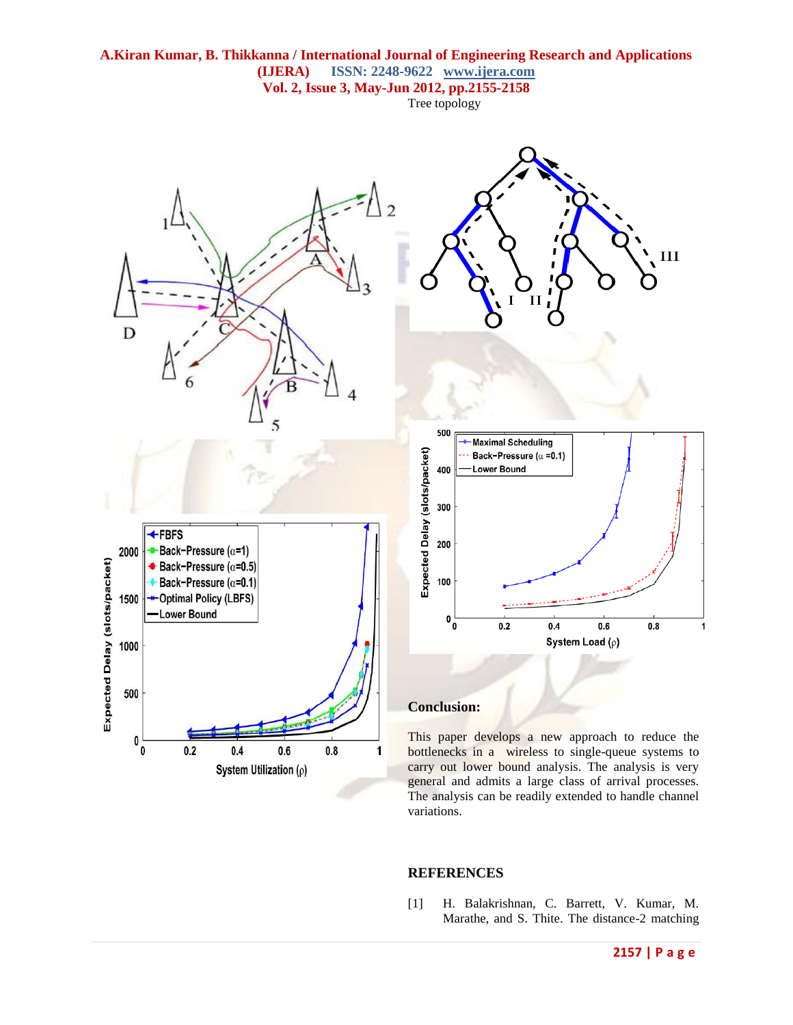

#### **REFERENCES**

[1] H. Balakrishnan, C. Barrett, V. Kumar, M. Marathe, and S. Thite. The distance-2 matching